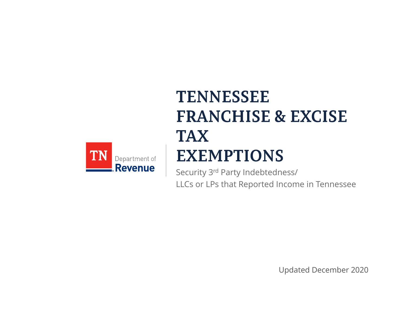

# **TENNESSEE FRANCHISE & EXCISE TAX EXEMPTIONS**

Security 3rd Party Indebtedness/ LLCs or LPs that Reported Income in Tennessee

Updated December 2020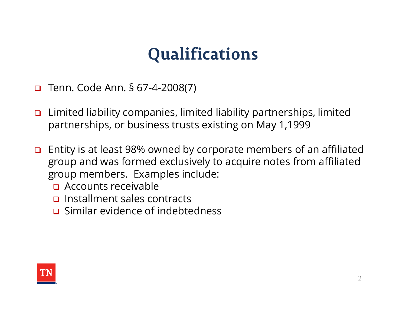- 
- **Qualifications**<br> **Qualifications**<br> **a** Tenn. Code Ann. § 67-4-2008(7)<br> **a** Limited liability companies, limited liability partnership<br>
partnerships, or business trusts existing on May 1.199 Limited liability companies, limited liability partnerships, limited partnerships, or business trusts existing on May 1,1999
- Entity is at least 98% owned by corporate members of an affiliated group and was formed exclusively to acquire notes from affiliated group members. Examples include:
	- **Q** Accounts receivable
	- $\Box$  Installment sales contracts
	- **D** Similar evidence of indebtedness

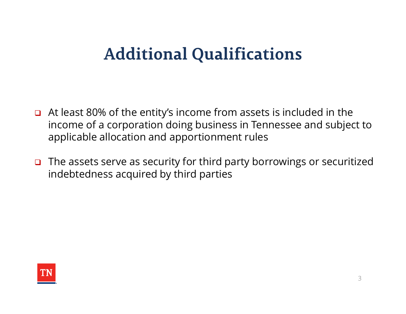### **Additional Qualifications**

- $\Box$  At least 80% of the entity's income from assets is included in the income of a corporation doing business in Tennessee and subject to applicable allocation and apportionment rules
- $\Box$  The assets serve as security for third party borrowings or securitized indebtedness acquired by third parties

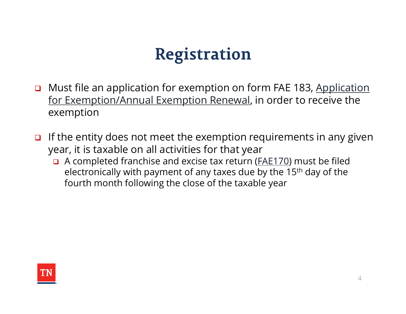## **Registration**

- Must file an application for exemption on form FAE 183, Application for Exemption/Annual Exemption Renewal, in order to receive the exemption
- If the entity does not meet the exemption requirements in any given year, it is taxable on all activities for that year
	- A completed franchise and excise tax return (FAE170) must be filed electronically with payment of any taxes due by the 15th day of the fourth month following the close of the taxable year

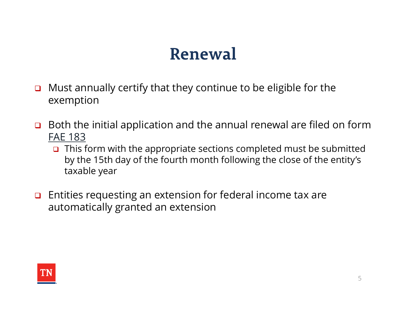### Renewal

- **D** Must annually certify that they continue to be eligible for the exemption
- $\Box$  Both the initial application and the annual renewal are filed on form FAE 183
	- $\Box$  This form with the appropriate sections completed must be submitted by the 15th day of the fourth month following the close of the entity's taxable year
- $\Box$  Entities requesting an extension for federal income tax are automatically granted an extension

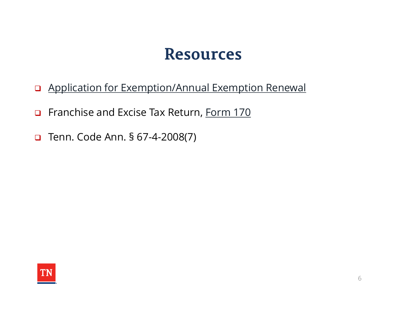- Application for Exemption/Annual Exemption Renewal Resources<br>
Q Application for Exemption/Annual Exemption Renewal<br>
Q Franchise and Excise Tax Return, <u>Form 170</u><br>
Q Tenn. Code Ann. § 67-4-2008(7)
- Franchise and Excise Tax Return, Form 170
-